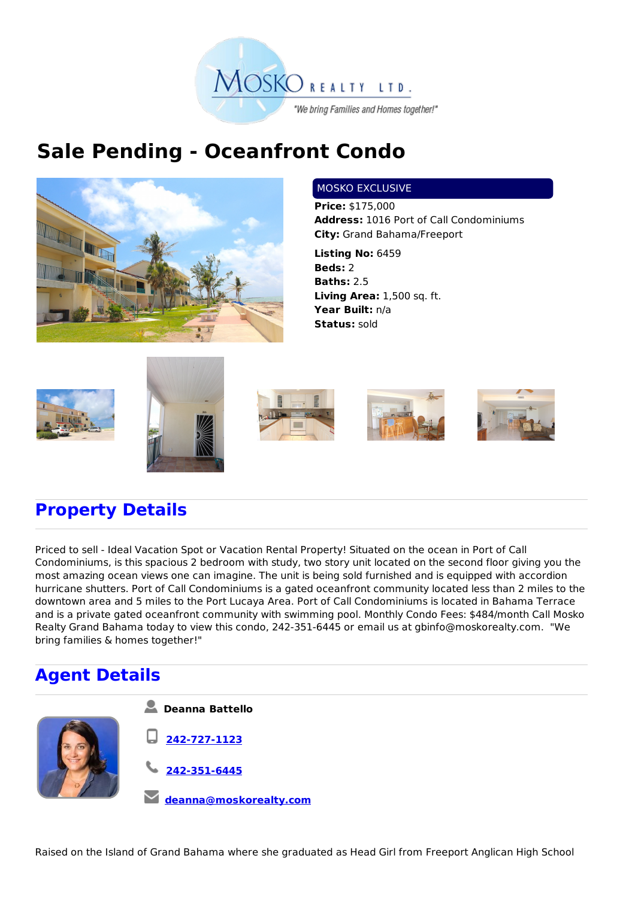

## **Sale Pending - Oceanfront Condo**



## MOSKO EXCLUSIVE

**Price:** \$175,000 **Address:** 1016 Port of Call Condominiums **City:** Grand Bahama/Freeport

**Listing No:** 6459 **Beds:** 2 **Baths:** 2.5 **Living Area:** 1,500 sq. ft. **Year Built:** n/a **Status:** sold











## **Property Details**

Priced to sell - Ideal Vacation Spot or Vacation Rental Property! Situated on the ocean in Port of Call Condominiums, is this spacious 2 bedroom with study, two story unit located on the second floor giving you the most amazing ocean views one can imagine. The unit is being sold furnished and is equipped with accordion hurricane shutters. Port of Call Condominiums is a gated oceanfront community located less than 2 miles to the downtown area and 5 miles to the Port Lucaya Area. Port of Call Condominiums is located in Bahama Terrace and is a private gated oceanfront community with swimming pool. Monthly Condo Fees: \$484/month Call Mosko Realty Grand Bahama today to view this condo, 242-351-6445 or email us at gbinfo@moskorealty.com. "We bring families & homes together!"

## **Agent Details**